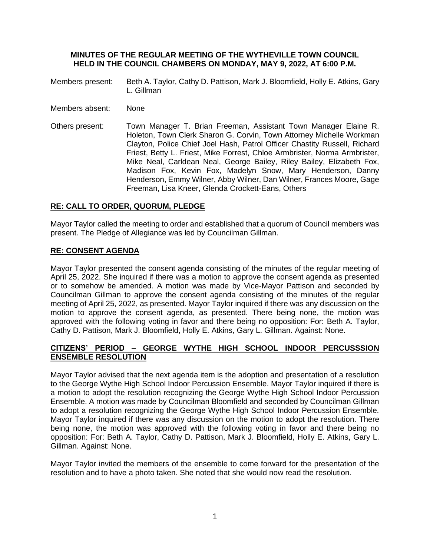### **MINUTES OF THE REGULAR MEETING OF THE WYTHEVILLE TOWN COUNCIL HELD IN THE COUNCIL CHAMBERS ON MONDAY, MAY 9, 2022, AT 6:00 P.M.**

- Members present: Beth A. Taylor, Cathy D. Pattison, Mark J. Bloomfield, Holly E. Atkins, Gary L. Gillman
- Members absent: None
- Others present: Town Manager T. Brian Freeman, Assistant Town Manager Elaine R. Holeton, Town Clerk Sharon G. Corvin, Town Attorney Michelle Workman Clayton, Police Chief Joel Hash, Patrol Officer Chastity Russell, Richard Friest, Betty L. Friest, Mike Forrest, Chloe Armbrister, Norma Armbrister, Mike Neal, Carldean Neal, George Bailey, Riley Bailey, Elizabeth Fox, Madison Fox, Kevin Fox, Madelyn Snow, Mary Henderson, Danny Henderson, Emmy Wilner, Abby Wilner, Dan Wilner, Frances Moore, Gage Freeman, Lisa Kneer, Glenda Crockett-Eans, Others

## **RE: CALL TO ORDER, QUORUM, PLEDGE**

Mayor Taylor called the meeting to order and established that a quorum of Council members was present. The Pledge of Allegiance was led by Councilman Gillman.

## **RE: CONSENT AGENDA**

Mayor Taylor presented the consent agenda consisting of the minutes of the regular meeting of April 25, 2022. She inquired if there was a motion to approve the consent agenda as presented or to somehow be amended. A motion was made by Vice-Mayor Pattison and seconded by Councilman Gillman to approve the consent agenda consisting of the minutes of the regular meeting of April 25, 2022, as presented. Mayor Taylor inquired if there was any discussion on the motion to approve the consent agenda, as presented. There being none, the motion was approved with the following voting in favor and there being no opposition: For: Beth A. Taylor, Cathy D. Pattison, Mark J. Bloomfield, Holly E. Atkins, Gary L. Gillman. Against: None.

# **CITIZENS' PERIOD – GEORGE WYTHE HIGH SCHOOL INDOOR PERCUSSSION ENSEMBLE RESOLUTION**

Mayor Taylor advised that the next agenda item is the adoption and presentation of a resolution to the George Wythe High School Indoor Percussion Ensemble. Mayor Taylor inquired if there is a motion to adopt the resolution recognizing the George Wythe High School Indoor Percussion Ensemble. A motion was made by Councilman Bloomfield and seconded by Councilman Gillman to adopt a resolution recognizing the George Wythe High School Indoor Percussion Ensemble. Mayor Taylor inquired if there was any discussion on the motion to adopt the resolution. There being none, the motion was approved with the following voting in favor and there being no opposition: For: Beth A. Taylor, Cathy D. Pattison, Mark J. Bloomfield, Holly E. Atkins, Gary L. Gillman. Against: None.

Mayor Taylor invited the members of the ensemble to come forward for the presentation of the resolution and to have a photo taken. She noted that she would now read the resolution.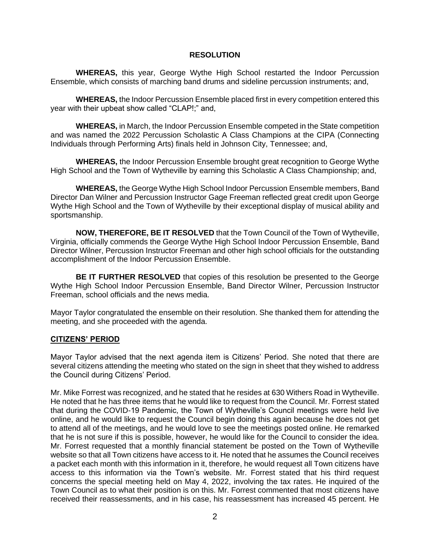#### **RESOLUTION**

**WHEREAS,** this year, George Wythe High School restarted the Indoor Percussion Ensemble, which consists of marching band drums and sideline percussion instruments; and,

**WHEREAS,** the Indoor Percussion Ensemble placed first in every competition entered this year with their upbeat show called "CLAP!;" and,

**WHEREAS,** in March, the Indoor Percussion Ensemble competed in the State competition and was named the 2022 Percussion Scholastic A Class Champions at the CIPA (Connecting Individuals through Performing Arts) finals held in Johnson City, Tennessee; and,

**WHEREAS,** the Indoor Percussion Ensemble brought great recognition to George Wythe High School and the Town of Wytheville by earning this Scholastic A Class Championship; and,

**WHEREAS,** the George Wythe High School Indoor Percussion Ensemble members, Band Director Dan Wilner and Percussion Instructor Gage Freeman reflected great credit upon George Wythe High School and the Town of Wytheville by their exceptional display of musical ability and sportsmanship.

**NOW, THEREFORE, BE IT RESOLVED** that the Town Council of the Town of Wytheville, Virginia, officially commends the George Wythe High School Indoor Percussion Ensemble, Band Director Wilner, Percussion Instructor Freeman and other high school officials for the outstanding accomplishment of the Indoor Percussion Ensemble.

**BE IT FURTHER RESOLVED** that copies of this resolution be presented to the George Wythe High School Indoor Percussion Ensemble, Band Director Wilner, Percussion Instructor Freeman, school officials and the news media.

Mayor Taylor congratulated the ensemble on their resolution. She thanked them for attending the meeting, and she proceeded with the agenda.

#### **CITIZENS' PERIOD**

Mayor Taylor advised that the next agenda item is Citizens' Period. She noted that there are several citizens attending the meeting who stated on the sign in sheet that they wished to address the Council during Citizens' Period.

Mr. Mike Forrest was recognized, and he stated that he resides at 630 Withers Road in Wytheville. He noted that he has three items that he would like to request from the Council. Mr. Forrest stated that during the COVID-19 Pandemic, the Town of Wytheville's Council meetings were held live online, and he would like to request the Council begin doing this again because he does not get to attend all of the meetings, and he would love to see the meetings posted online. He remarked that he is not sure if this is possible, however, he would like for the Council to consider the idea. Mr. Forrest requested that a monthly financial statement be posted on the Town of Wytheville website so that all Town citizens have access to it. He noted that he assumes the Council receives a packet each month with this information in it, therefore, he would request all Town citizens have access to this information via the Town's website. Mr. Forrest stated that his third request concerns the special meeting held on May 4, 2022, involving the tax rates. He inquired of the Town Council as to what their position is on this. Mr. Forrest commented that most citizens have received their reassessments, and in his case, his reassessment has increased 45 percent. He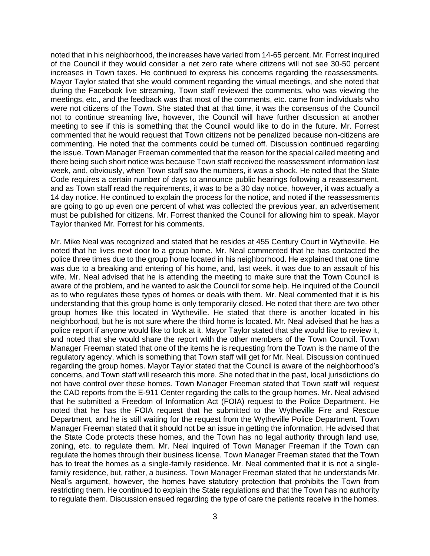noted that in his neighborhood, the increases have varied from 14-65 percent. Mr. Forrest inquired of the Council if they would consider a net zero rate where citizens will not see 30-50 percent increases in Town taxes. He continued to express his concerns regarding the reassessments. Mayor Taylor stated that she would comment regarding the virtual meetings, and she noted that during the Facebook live streaming, Town staff reviewed the comments, who was viewing the meetings, etc., and the feedback was that most of the comments, etc. came from individuals who were not citizens of the Town. She stated that at that time, it was the consensus of the Council not to continue streaming live, however, the Council will have further discussion at another meeting to see if this is something that the Council would like to do in the future. Mr. Forrest commented that he would request that Town citizens not be penalized because non-citizens are commenting. He noted that the comments could be turned off. Discussion continued regarding the issue. Town Manager Freeman commented that the reason for the special called meeting and there being such short notice was because Town staff received the reassessment information last week, and, obviously, when Town staff saw the numbers, it was a shock. He noted that the State Code requires a certain number of days to announce public hearings following a reassessment, and as Town staff read the requirements, it was to be a 30 day notice, however, it was actually a 14 day notice. He continued to explain the process for the notice, and noted if the reassessments are going to go up even one percent of what was collected the previous year, an advertisement must be published for citizens. Mr. Forrest thanked the Council for allowing him to speak. Mayor Taylor thanked Mr. Forrest for his comments.

Mr. Mike Neal was recognized and stated that he resides at 455 Century Court in Wytheville. He noted that he lives next door to a group home. Mr. Neal commented that he has contacted the police three times due to the group home located in his neighborhood. He explained that one time was due to a breaking and entering of his home, and, last week, it was due to an assault of his wife. Mr. Neal advised that he is attending the meeting to make sure that the Town Council is aware of the problem, and he wanted to ask the Council for some help. He inquired of the Council as to who regulates these types of homes or deals with them. Mr. Neal commented that it is his understanding that this group home is only temporarily closed. He noted that there are two other group homes like this located in Wytheville. He stated that there is another located in his neighborhood, but he is not sure where the third home is located. Mr. Neal advised that he has a police report if anyone would like to look at it. Mayor Taylor stated that she would like to review it, and noted that she would share the report with the other members of the Town Council. Town Manager Freeman stated that one of the items he is requesting from the Town is the name of the regulatory agency, which is something that Town staff will get for Mr. Neal. Discussion continued regarding the group homes. Mayor Taylor stated that the Council is aware of the neighborhood's concerns, and Town staff will research this more. She noted that in the past, local jurisdictions do not have control over these homes. Town Manager Freeman stated that Town staff will request the CAD reports from the E-911 Center regarding the calls to the group homes. Mr. Neal advised that he submitted a Freedom of Information Act (FOIA) request to the Police Department. He noted that he has the FOIA request that he submitted to the Wytheville Fire and Rescue Department, and he is still waiting for the request from the Wytheville Police Department. Town Manager Freeman stated that it should not be an issue in getting the information. He advised that the State Code protects these homes, and the Town has no legal authority through land use, zoning, etc. to regulate them. Mr. Neal inquired of Town Manager Freeman if the Town can regulate the homes through their business license. Town Manager Freeman stated that the Town has to treat the homes as a single-family residence. Mr. Neal commented that it is not a singlefamily residence, but, rather, a business. Town Manager Freeman stated that he understands Mr. Neal's argument, however, the homes have statutory protection that prohibits the Town from restricting them. He continued to explain the State regulations and that the Town has no authority to regulate them. Discussion ensued regarding the type of care the patients receive in the homes.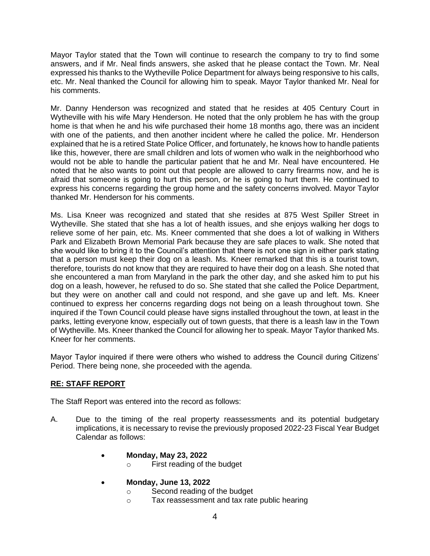Mayor Taylor stated that the Town will continue to research the company to try to find some answers, and if Mr. Neal finds answers, she asked that he please contact the Town. Mr. Neal expressed his thanks to the Wytheville Police Department for always being responsive to his calls, etc. Mr. Neal thanked the Council for allowing him to speak. Mayor Taylor thanked Mr. Neal for his comments.

Mr. Danny Henderson was recognized and stated that he resides at 405 Century Court in Wytheville with his wife Mary Henderson. He noted that the only problem he has with the group home is that when he and his wife purchased their home 18 months ago, there was an incident with one of the patients, and then another incident where he called the police. Mr. Henderson explained that he is a retired State Police Officer, and fortunately, he knows how to handle patients like this, however, there are small children and lots of women who walk in the neighborhood who would not be able to handle the particular patient that he and Mr. Neal have encountered. He noted that he also wants to point out that people are allowed to carry firearms now, and he is afraid that someone is going to hurt this person, or he is going to hurt them. He continued to express his concerns regarding the group home and the safety concerns involved. Mayor Taylor thanked Mr. Henderson for his comments.

Ms. Lisa Kneer was recognized and stated that she resides at 875 West Spiller Street in Wytheville. She stated that she has a lot of health issues, and she enjoys walking her dogs to relieve some of her pain, etc. Ms. Kneer commented that she does a lot of walking in Withers Park and Elizabeth Brown Memorial Park because they are safe places to walk. She noted that she would like to bring it to the Council's attention that there is not one sign in either park stating that a person must keep their dog on a leash. Ms. Kneer remarked that this is a tourist town, therefore, tourists do not know that they are required to have their dog on a leash. She noted that she encountered a man from Maryland in the park the other day, and she asked him to put his dog on a leash, however, he refused to do so. She stated that she called the Police Department, but they were on another call and could not respond, and she gave up and left. Ms. Kneer continued to express her concerns regarding dogs not being on a leash throughout town. She inquired if the Town Council could please have signs installed throughout the town, at least in the parks, letting everyone know, especially out of town guests, that there is a leash law in the Town of Wytheville. Ms. Kneer thanked the Council for allowing her to speak. Mayor Taylor thanked Ms. Kneer for her comments.

Mayor Taylor inquired if there were others who wished to address the Council during Citizens' Period. There being none, she proceeded with the agenda.

# **RE: STAFF REPORT**

The Staff Report was entered into the record as follows:

- A. Due to the timing of the real property reassessments and its potential budgetary implications, it is necessary to revise the previously proposed 2022-23 Fiscal Year Budget Calendar as follows:
	- **Monday, May 23, 2022**
		- o First reading of the budget
	- **Monday, June 13, 2022**
		- o Second reading of the budget
		- o Tax reassessment and tax rate public hearing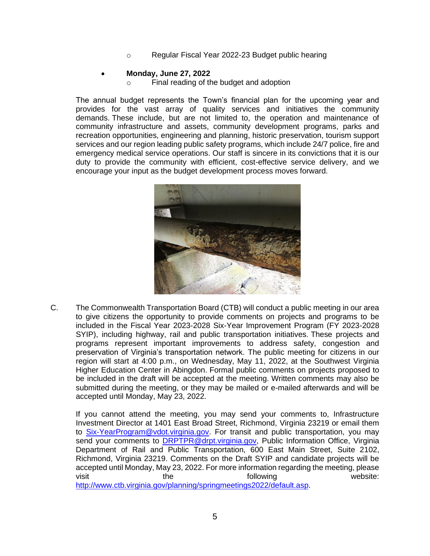o Regular Fiscal Year 2022-23 Budget public hearing

## • **Monday, June 27, 2022**

o Final reading of the budget and adoption

The annual budget represents the Town's financial plan for the upcoming year and provides for the vast array of quality services and initiatives the community demands. These include, but are not limited to, the operation and maintenance of community infrastructure and assets, community development programs, parks and recreation opportunities, engineering and planning, historic preservation, tourism support services and our region leading public safety programs, which include 24/7 police, fire and emergency medical service operations. Our staff is sincere in its convictions that it is our duty to provide the community with efficient, cost-effective service delivery, and we encourage your input as the budget development process moves forward.



C. The Commonwealth Transportation Board (CTB) will conduct a public meeting in our area to give citizens the opportunity to provide comments on projects and programs to be included in the Fiscal Year 2023-2028 Six-Year Improvement Program (FY 2023-2028 SYIP), including highway, rail and public transportation initiatives. These projects and programs represent important improvements to address safety, congestion and preservation of Virginia's transportation network. The public meeting for citizens in our region will start at 4:00 p.m., on Wednesday, May 11, 2022, at the Southwest Virginia Higher Education Center in Abingdon. Formal public comments on projects proposed to be included in the draft will be accepted at the meeting. Written comments may also be submitted during the meeting, or they may be mailed or e-mailed afterwards and will be accepted until Monday, May 23, 2022.

If you cannot attend the meeting, you may send your comments to, Infrastructure Investment Director at 1401 East Broad Street, Richmond, Virginia 23219 or email them to [Six-YearProgram@vdot.virginia.gov.](mailto:Six-YearProgram@vdot.virginia.gov) For transit and public transportation, you may send your comments to [DRPTPR@drpt.virginia.gov,](mailto:DRPTPR@drpt.virginia.gov) Public Information Office, Virginia Department of Rail and Public Transportation, 600 East Main Street, Suite 2102, Richmond, Virginia 23219. Comments on the Draft SYIP and candidate projects will be accepted until Monday, May 23, 2022. For more information regarding the meeting, please visit the the following website: [http://www.ctb.virginia.gov/planning/springmeetings2022/default.asp.](http://www.ctb.virginia.gov/planning/springmeetings2022/default.asp)